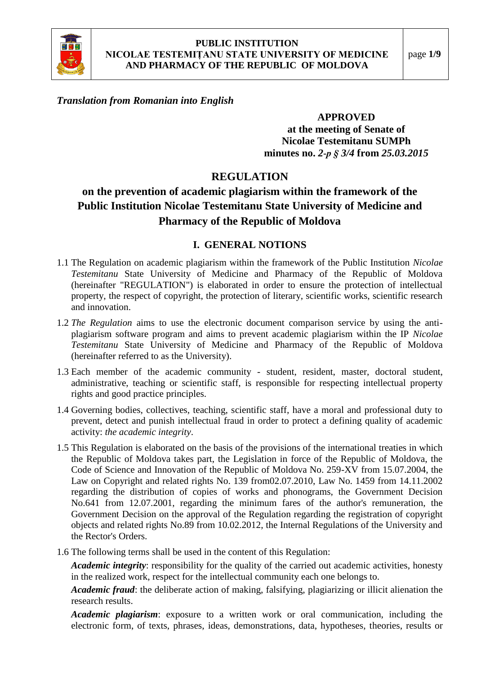

## *Translation from Romanian into English*

#### **APPROVED**

**at the meeting of Senate of Nicolae Testemitanu SUMPh minutes no.** *2***-***p § 3/4* **from** *25.03.2015*

## **REGULATION**

# **on the prevention of academic plagiarism within the framework of the Public Institution Nicolae Testemitanu State University of Medicine and Pharmacy of the Republic of Moldova**

#### **I. GENERAL NOTIONS**

- 1.1 The Regulation on academic plagiarism within the framework of the Public Institution *Nicolae Testemitanu* State University of Medicine and Pharmacy of the Republic of Moldova (hereinafter "REGULATION") is elaborated in order to ensure the protection of intellectual property, the respect of copyright, the protection of literary, scientific works, scientific research and innovation.
- 1.2 *The Regulation* aims to use the electronic document comparison service by using the antiplagiarism software program and aims to prevent academic plagiarism within the IP *Nicolae Testemitanu* State University of Medicine and Pharmacy of the Republic of Moldova (hereinafter referred to as the University).
- 1.3 Each member of the academic community student, resident, master, doctoral student, administrative, teaching or scientific staff, is responsible for respecting intellectual property rights and good practice principles.
- 1.4 Governing bodies, collectives, teaching, scientific staff, have a moral and professional duty to prevent, detect and punish intellectual fraud in order to protect a defining quality of academic activity: *the academic integrity*.
- 1.5 This Regulation is elaborated on the basis of the provisions of the international treaties in which the Republic of Moldova takes part, the Legislation in force of the Republic of Moldova, the Code of Science and Innovation of the Republic of Moldova No. 259-XV from 15.07.2004, the Law on Copyright and related rights No. 139 from02.07.2010, Law No. 1459 from 14.11.2002 regarding the distribution of copies of works and phonograms, the Government Decision No.641 from 12.07.2001, regarding the minimum fares of the author's remuneration, the Government Decision on the approval of the Regulation regarding the registration of copyright objects and related rights No.89 from 10.02.2012, the Internal Regulations of the University and the Rector's Orders.
- 1.6 The following terms shall be used in the content of this Regulation:

*Academic integrity*: responsibility for the quality of the carried out academic activities, honesty in the realized work, respect for the intellectual community each one belongs to.

*Academic fraud*: the deliberate action of making, falsifying, plagiarizing or illicit alienation the research results.

*Academic plagiarism*: exposure to a written work or oral communication, including the electronic form, of texts, phrases, ideas, demonstrations, data, hypotheses, theories, results or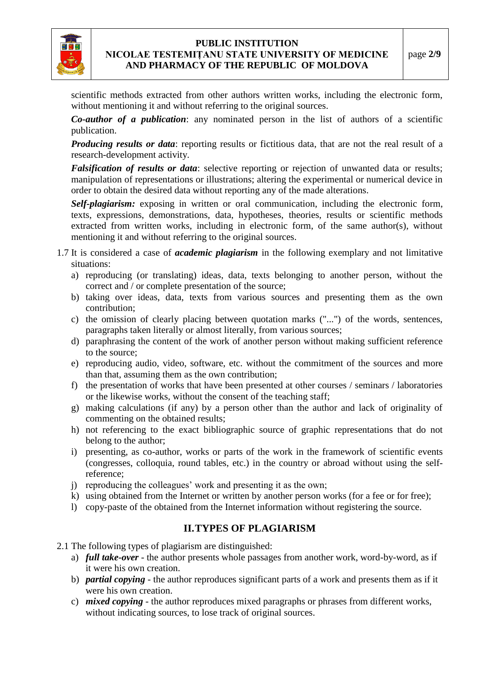

scientific methods extracted from other authors written works, including the electronic form, without mentioning it and without referring to the original sources.

*Co-author of a publication*: any nominated person in the list of authors of a scientific publication.

*Producing results or data:* reporting results or fictitious data, that are not the real result of a research-development activity.

*Falsification of results or data*: selective reporting or rejection of unwanted data or results; manipulation of representations or illustrations; altering the experimental or numerical device in order to obtain the desired data without reporting any of the made alterations.

*Self-plagiarism:* exposing in written or oral communication, including the electronic form, texts, expressions, demonstrations, data, hypotheses, theories, results or scientific methods extracted from written works, including in electronic form, of the same author(s), without mentioning it and without referring to the original sources.

- 1.7 It is considered a case of *academic plagiarism* in the following exemplary and not limitative situations:
	- a) reproducing (or translating) ideas, data, texts belonging to another person, without the correct and / or complete presentation of the source;
	- b) taking over ideas, data, texts from various sources and presenting them as the own contribution;
	- c) the omission of clearly placing between quotation marks ("...") of the words, sentences, paragraphs taken literally or almost literally, from various sources;
	- d) paraphrasing the content of the work of another person without making sufficient reference to the source;
	- e) reproducing audio, video, software, etc. without the commitment of the sources and more than that, assuming them as the own contribution;
	- f) the presentation of works that have been presented at other courses / seminars / laboratories or the likewise works, without the consent of the teaching staff;
	- g) making calculations (if any) by a person other than the author and lack of originality of commenting on the obtained results;
	- h) not referencing to the exact bibliographic source of graphic representations that do not belong to the author;
	- i) presenting, as co-author, works or parts of the work in the framework of scientific events (congresses, colloquia, round tables, etc.) in the country or abroad without using the selfreference;
	- j) reproducing the colleagues' work and presenting it as the own;
	- k) using obtained from the Internet or written by another person works (for a fee or for free);
	- l) copy-paste of the obtained from the Internet information without registering the source.

## **II.TYPES OF PLAGIARISM**

2.1 The following types of plagiarism are distinguished:

- a) *full take-over* the author presents whole passages from another work, word-by-word, as if it were his own creation.
- b) *partial copying* the author reproduces significant parts of a work and presents them as if it were his own creation.
- c) *mixed copying* the author reproduces mixed paragraphs or phrases from different works, without indicating sources, to lose track of original sources.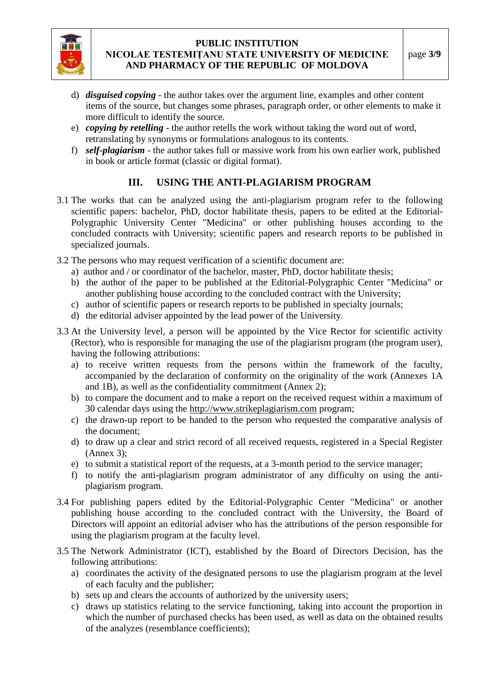

- d) *disguised copying* the author takes over the argument line, examples and other content items of the source, but changes some phrases, paragraph order, or other elements to make it more difficult to identify the source.
- e) *copying by retelling* the author retells the work without taking the word out of word, retranslating by synonyms or formulations analogous to its contents.
- f) *self-plagiarism* the author takes full or massive work from his own earlier work, published in book or article format (classic or digital format).

## **III. USING THE ANTI-PLAGIARISM PROGRAM**

- 3.1 The works that can be analyzed using the anti-plagiarism program refer to the following scientific papers: bachelor, PhD, doctor habilitate thesis, papers to be edited at the Editorial-Polygraphic University Center "Medicina" or other publishing houses according to the concluded contracts with University; scientific papers and research reports to be published in specialized journals.
- 3.2 The persons who may request verification of a scientific document are:
	- a) author and / or coordinator of the bachelor, master, PhD, doctor habilitate thesis;
	- b) the author of the paper to be published at the Editorial-Polygraphic Center "Medicina" or another publishing house according to the concluded contract with the University;
	- c) author of scientific papers or research reports to be published in specialty journals;
	- d) the editorial adviser appointed by the lead power of the University.
- 3.3 At the University level, a person will be appointed by the Vice Rector for scientific activity (Rector), who is responsible for managing the use of the plagiarism program (the program user), having the following attributions:
	- a) to receive written requests from the persons within the framework of the faculty, accompanied by the declaration of conformity on the originality of the work (Annexes 1A and 1B), as well as the confidentiality commitment (Annex 2);
	- b) to compare the document and to make a report on the received request within a maximum of 30 calendar days using the http://www.strikeplagiarism.com program;
	- c) the drawn-up report to be handed to the person who requested the comparative analysis of the document;
	- d) to draw up a clear and strict record of all received requests, registered in a Special Register (Annex 3);
	- e) to submit a statistical report of the requests, at a 3-month period to the service manager;
	- f) to notify the anti-plagiarism program administrator of any difficulty on using the antiplagiarism program.
- 3.4 For publishing papers edited by the Editorial-Polygraphic Center "Medicina" or another publishing house according to the concluded contract with the University, the Board of Directors will appoint an editorial adviser who has the attributions of the person responsible for using the plagiarism program at the faculty level.
- 3.5 The Network Administrator (ICT), established by the Board of Directors Decision, has the following attributions:
	- a) coordinates the activity of the designated persons to use the plagiarism program at the level of each faculty and the publisher;
	- b) sets up and clears the accounts of authorized by the university users;
	- c) draws up statistics relating to the service functioning, taking into account the proportion in which the number of purchased checks has been used, as well as data on the obtained results of the analyzes (resemblance coefficients);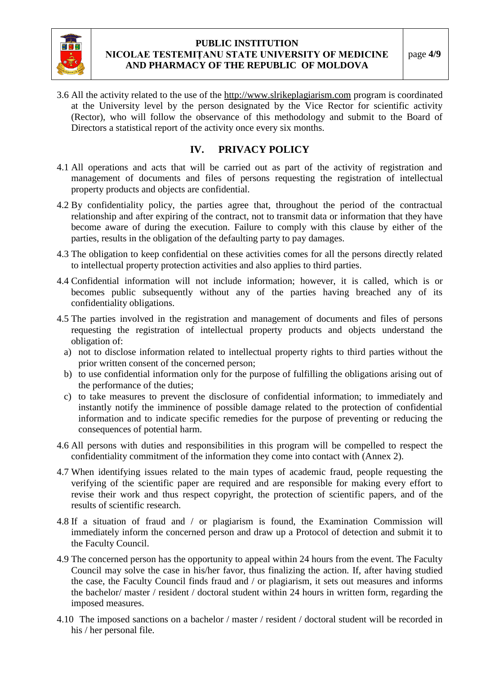

3.6 All the activity related to the use of the http://www.slrikeplagiarism.com program is coordinated at the University level by the person designated by the Vice Rector for scientific activity (Rector), who will follow the observance of this methodology and submit to the Board of Directors a statistical report of the activity once every six months.

## **IV. PRIVACY POLICY**

- 4.1 All operations and acts that will be carried out as part of the activity of registration and management of documents and files of persons requesting the registration of intellectual property products and objects are confidential.
- 4.2 By confidentiality policy, the parties agree that, throughout the period of the contractual relationship and after expiring of the contract, not to transmit data or information that they have become aware of during the execution. Failure to comply with this clause by either of the parties, results in the obligation of the defaulting party to pay damages.
- 4.3 The obligation to keep confidential on these activities comes for all the persons directly related to intellectual property protection activities and also applies to third parties.
- 4.4 Confidential information will not include information; however, it is called, which is or becomes public subsequently without any of the parties having breached any of its confidentiality obligations.
- 4.5 The parties involved in the registration and management of documents and files of persons requesting the registration of intellectual property products and objects understand the obligation of:
	- a) not to disclose information related to intellectual property rights to third parties without the prior written consent of the concerned person;
	- b) to use confidential information only for the purpose of fulfilling the obligations arising out of the performance of the duties;
	- c) to take measures to prevent the disclosure of confidential information; to immediately and instantly notify the imminence of possible damage related to the protection of confidential information and to indicate specific remedies for the purpose of preventing or reducing the consequences of potential harm.
- 4.6 All persons with duties and responsibilities in this program will be compelled to respect the confidentiality commitment of the information they come into contact with (Annex 2).
- 4.7 When identifying issues related to the main types of academic fraud, people requesting the verifying of the scientific paper are required and are responsible for making every effort to revise their work and thus respect copyright, the protection of scientific papers, and of the results of scientific research.
- 4.8 If a situation of fraud and / or plagiarism is found, the Examination Commission will immediately inform the concerned person and draw up a Protocol of detection and submit it to the Faculty Council.
- 4.9 The concerned person has the opportunity to appeal within 24 hours from the event. The Faculty Council may solve the case in his/her favor, thus finalizing the action. If, after having studied the case, the Faculty Council finds fraud and / or plagiarism, it sets out measures and informs the bachelor/ master / resident / doctoral student within 24 hours in written form, regarding the imposed measures.
- 4.10 The imposed sanctions on a bachelor / master / resident / doctoral student will be recorded in his / her personal file.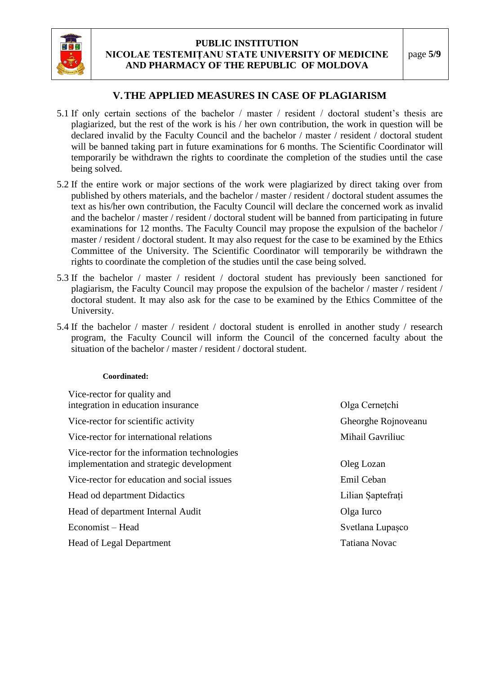

## **V.THE APPLIED MEASURES IN CASE OF PLAGIARISM**

- 5.1 If only certain sections of the bachelor / master / resident / doctoral student's thesis are plagiarized, but the rest of the work is his / her own contribution, the work in question will be declared invalid by the Faculty Council and the bachelor / master / resident / doctoral student will be banned taking part in future examinations for 6 months. The Scientific Coordinator will temporarily be withdrawn the rights to coordinate the completion of the studies until the case being solved.
- 5.2 If the entire work or major sections of the work were plagiarized by direct taking over from published by others materials, and the bachelor / master / resident / doctoral student assumes the text as his/her own contribution, the Faculty Council will declare the concerned work as invalid and the bachelor / master / resident / doctoral student will be banned from participating in future examinations for 12 months. The Faculty Council may propose the expulsion of the bachelor / master / resident / doctoral student. It may also request for the case to be examined by the Ethics Committee of the University. The Scientific Coordinator will temporarily be withdrawn the rights to coordinate the completion of the studies until the case being solved.
- 5.3 If the bachelor / master / resident / doctoral student has previously been sanctioned for plagiarism, the Faculty Council may propose the expulsion of the bachelor / master / resident / doctoral student. It may also ask for the case to be examined by the Ethics Committee of the University.
- 5.4 If the bachelor / master / resident / doctoral student is enrolled in another study / research program, the Faculty Council will inform the Council of the concerned faculty about the situation of the bachelor / master / resident / doctoral student.

#### **Coordinated:**

| Vice-rector for quality and<br>integration in education insurance                        | Olga Cernețchi      |  |
|------------------------------------------------------------------------------------------|---------------------|--|
| Vice-rector for scientific activity                                                      | Gheorghe Rojnoveanu |  |
| Vice-rector for international relations                                                  | Mihail Gavriliuc    |  |
| Vice-rector for the information technologies<br>implementation and strategic development | Oleg Lozan          |  |
| Vice-rector for education and social issues                                              | Emil Ceban          |  |
| Head od department Didactics                                                             | Lilian Saptefrați   |  |
| Head of department Internal Audit                                                        | Olga Iurco          |  |
| Economist – Head                                                                         | Svetlana Lupașco    |  |
| <b>Head of Legal Department</b>                                                          | Tatiana Novac       |  |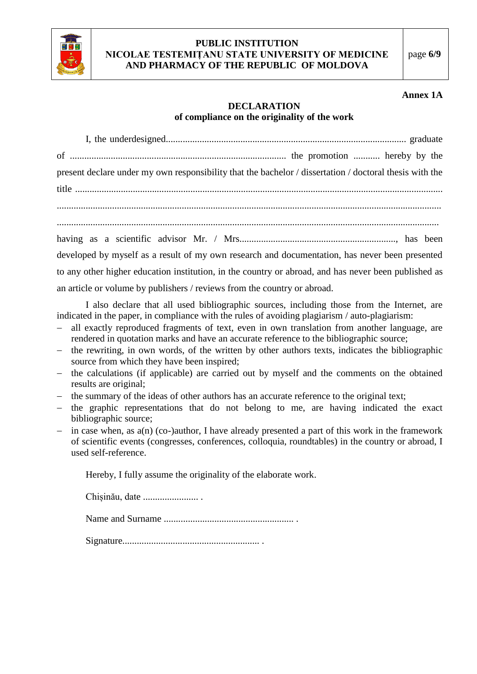

#### **Annex 1A**

## **DECLARATION of compliance on the originality of the work**

I, the underdesigned.................................................................................................... graduate of .......................................................................................... the promotion ........... hereby by the present declare under my own responsibility that the bachelor / dissertation / doctoral thesis with the title ......................................................................................................................................................... ................................................................................................................................................................ ............................................................................................................................................................... having as a scientific advisor Mr. / Mrs................................................................., has been developed by myself as a result of my own research and documentation, has never been presented to any other higher education institution, in the country or abroad, and has never been published as an article or volume by publishers / reviews from the country or abroad.

I also declare that all used bibliographic sources, including those from the Internet, are indicated in the paper, in compliance with the rules of avoiding plagiarism / auto-plagiarism:

- all exactly reproduced fragments of text, even in own translation from another language, are rendered in quotation marks and have an accurate reference to the bibliographic source;
- the rewriting, in own words, of the written by other authors texts, indicates the bibliographic source from which they have been inspired;
- the calculations (if applicable) are carried out by myself and the comments on the obtained results are original;
- the summary of the ideas of other authors has an accurate reference to the original text;
- the graphic representations that do not belong to me, are having indicated the exact bibliographic source;
- in case when, as a(n) (co-)author, I have already presented a part of this work in the framework of scientific events (congresses, conferences, colloquia, roundtables) in the country or abroad, I used self-reference.

Hereby, I fully assume the originality of the elaborate work.

Chișinău, date ....................... .

Name and Surname ...................................................... .

Signature......................................................... .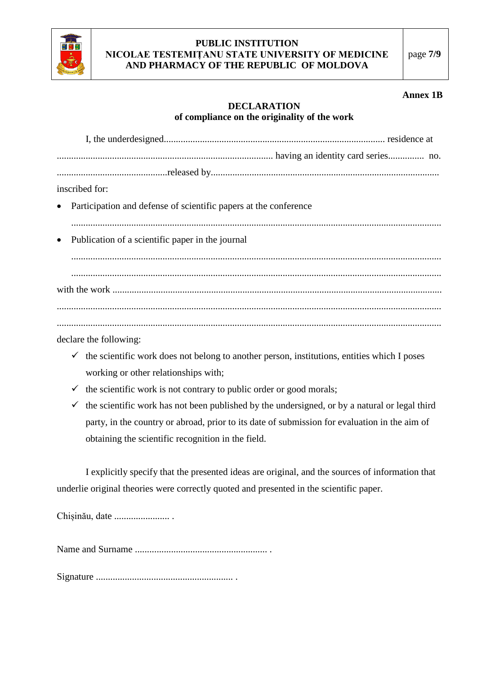

#### **Annex 1B**

## **DECLARATION of compliance on the originality of the work**

| inscribed for:                                                     |
|--------------------------------------------------------------------|
| • Participation and defense of scientific papers at the conference |
| • Publication of a scientific paper in the journal                 |
|                                                                    |
|                                                                    |
|                                                                    |
|                                                                    |

declare the following:

- $\checkmark$  the scientific work does not belong to another person, institutions, entities which I poses working or other relationships with;
- $\checkmark$  the scientific work is not contrary to public order or good morals;
- $\checkmark$  the scientific work has not been published by the undersigned, or by a natural or legal third party, in the country or abroad, prior to its date of submission for evaluation in the aim of obtaining the scientific recognition in the field.

I explicitly specify that the presented ideas are original, and the sources of information that underlie original theories were correctly quoted and presented in the scientific paper.

Chișinău, date ....................... .

Name and Surname ....................................................... .

Signature ......................................................... .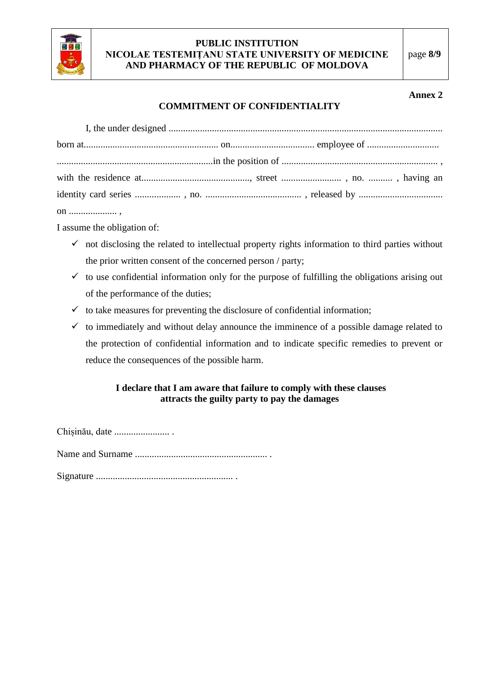

#### **Annex 2**

## **COMMITMENT OF CONFIDENTIALITY**

on .................... ,

I assume the obligation of:

- $\checkmark$  not disclosing the related to intellectual property rights information to third parties without the prior written consent of the concerned person / party;
- $\checkmark$  to use confidential information only for the purpose of fulfilling the obligations arising out of the performance of the duties;
- $\checkmark$  to take measures for preventing the disclosure of confidential information;
- $\checkmark$  to immediately and without delay announce the imminence of a possible damage related to the protection of confidential information and to indicate specific remedies to prevent or reduce the consequences of the possible harm.

## **I declare that I am aware that failure to comply with these clauses attracts the guilty party to pay the damages**

Chișinău, date ....................... .

Name and Surname ....................................................... .

Signature ......................................................... .